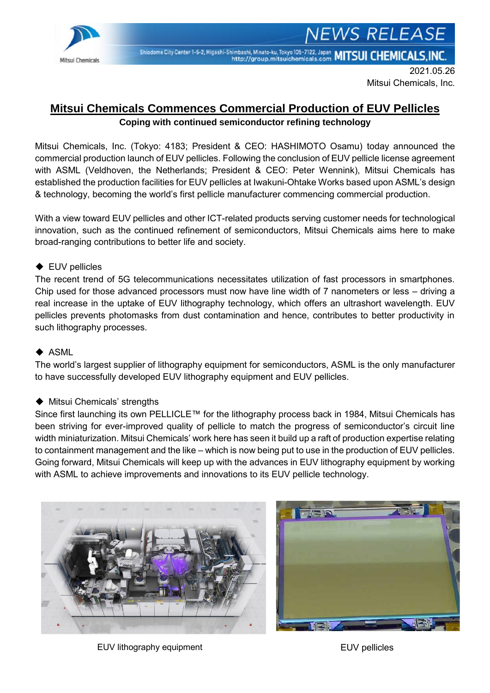

Shiodome City Center 1-5-2, Higashi-Shimbashi, Minato-ku, Tokyo 105-7122, Japan MITSUI CHEMICALS, INC.

2021.05.26 Mitsui Chemicals, Inc.

**NEWS RELEASE** 

# **Mitsui Chemicals Commences Commercial Production of EUV Pellicles Coping with continued semiconductor refining technology**

Mitsui Chemicals, Inc. (Tokyo: 4183; President & CEO: HASHIMOTO Osamu) today announced the commercial production launch of EUV pellicles. Following the conclusion of EUV pellicle license agreement with ASML (Veldhoven, the Netherlands; President & CEO: Peter Wennink), Mitsui Chemicals has established the production facilities for EUV pellicles at Iwakuni-Ohtake Works based upon ASML's design & technology, becoming the world's first pellicle manufacturer commencing commercial production.

With a view toward EUV pellicles and other ICT-related products serving customer needs for technological innovation, such as the continued refinement of semiconductors, Mitsui Chemicals aims here to make broad-ranging contributions to better life and society.

## ◆ EUV pellicles

The recent trend of 5G telecommunications necessitates utilization of fast processors in smartphones. Chip used for those advanced processors must now have line width of 7 nanometers or less – driving a real increase in the uptake of EUV lithography technology, which offers an ultrashort wavelength. EUV pellicles prevents photomasks from dust contamination and hence, contributes to better productivity in such lithography processes.

#### ◆ ASML

The world's largest supplier of lithography equipment for semiconductors, ASML is the only manufacturer to have successfully developed EUV lithography equipment and EUV pellicles.

#### ◆ Mitsui Chemicals' strengths

Since first launching its own PELLICLE™ for the lithography process back in 1984, Mitsui Chemicals has been striving for ever-improved quality of pellicle to match the progress of semiconductor's circuit line width miniaturization. Mitsui Chemicals' work here has seen it build up a raft of production expertise relating to containment management and the like – which is now being put to use in the production of EUV pellicles. Going forward, Mitsui Chemicals will keep up with the advances in EUV lithography equipment by working with ASML to achieve improvements and innovations to its EUV pellicle technology.





EUV lithography equipment EUV pellicles